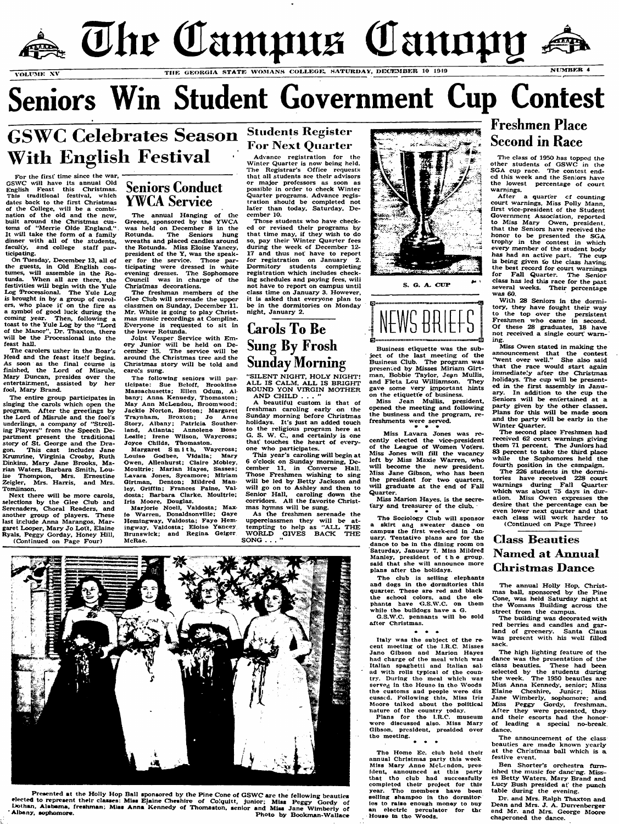

# Seniors Win Student Government Cup Contest

**GSWC Celebrates Season With English Festival**

For the first time since the war, GSWC will have its annual Old English Feast this Christmas. **This** traditional festivai, **which** dates back to the first Christmas of the College, will be a combination of the old and the new, built around the Christmas customs of "Merrie Olde England." It will take the form of a family dinner with all of the students, faculty, and college staff participating.

On Tuesday, December 13, all of the guests, in Old English costumes, will assemble in the Rotunda. When all are there, the festivities will begin with the Yule Log Processional. The Yule Log is brought in by a group of carolers, who place it on the fire as a symbol of good luck during the coming year. Then, following a toast to the Yule Log by the "Lord of the Manor", Dr. Thaxton, there will be the Processional into the feast hall.

The carolers usher in the Boar's Head and the feast itself begins. As soon as the final course is finished, the Lord of Misrule, Mary Duncan, presides over the entertairment, assisted by her fool, Mary Brand.

The entire group participates in singing the carols which open the program. After the greetings by the Lord of Misrule and the fool's underlings, a company of "Strolling Players" from the Speech Department present the traditional story of St. George and the Dragon. This cast includes Jane Krumrine, Virginia Crosby, Ruth Dinkins, Mary Jane Brooks, Marian Waters, Barbara Smith, Louise Thompson, Mrs. Ernestine Zeigler, Mrs. Harris, and Mrs. Tomlinson.

Next there will be more carols, selections by the Glee Club and Serenaders, Choral Readers, and another group of players. These last include Anna Marangos, Margaret Looper, Mary Jo Lott, Elaine Ryals, Peggy Gorday, Honey Hill, (Continued on Page Four)

Joint Vesper Service with Emory Junior will be held on December 15. The service will be around the Christmas tree and the Christmas story will be told and carols sung.

The following seniors will participate: Sue Beloff, Brookline Massachusetts; Ellen Odum, Albany; Anna Kenuedy, Thomaston; May Ann McLendon, Broomwood: Jackie Norton, Boston; Margaret Traynham, Broxton; Jo Anne Story, Albany; Patricia Southerland, Atlanta; Annolene Bone Leslie; Irene Wiison, Waycross; Joyce Childs, Thomaston.

Margaret Smith, Waycross; Louise Godbee, Vidalia; Mary Owen, Allenhurst; Claire Mobley, Moultrie; Marian Hayes, Sasses; Lavara Jones, Sycamore; Miriam Girtman, Denton; Mildred Manley, Griffin; Frances Paine, Valdosta; Barbara Clarke, Moultrie; Iris Moore, Douglas.

M arjorie N oel!, V aldosta; M ax ie W arren, D onaldsonville; Gaye Hemingway. Valdosta; Faye Hemingway, Valdosta; Eioise Yancey Brunswick; and Regina Geiger McRae.

## **Students Register For Next Quarter**

Advance registration for the Winter Quarter is now being held. The Registrar's Office requests that all students see their advisors or major professors as soon as possible in order to check Winter Quarter programs. Advance registration should be completed not later than today, Saturday, Decem ber 10.

Seniors Conduct YWCA Service

The annual Hanging of the Greens, sponsored by the YWCA was held on December 8 in the Rotunda. The Seniors hung wreaths and placed candles around the Rotunda. Miss Eloise Yancey, president of the Y, was the speaker for the service. Those participating were dressed in white evening dresses. The Sophomore Council was in charge of the Christmas decorations.

The freshman members of the Glee Club will serenade the upper classmen on Sunday, December 11. Mr. White is going to play Christmas music recordings at Compline. Everyone is requested to sit in the lower Rotunda.

Those students who have checked or revised their programs by that time may, if they wish to do so, pay their Winter Quarter fees during the week of December 12-17 and thus not have to report for registration on January 2. Dormitory students completing registration which includes checking schedules and paying fees, will not have to report on campus until class time on January 3. However, it is asked that everyone plan to be in the dormitories on Monday night, January 2.

> The Sociology Club will sponsor a skirt and sweater dance on cam pus the first week-end in January. Tentative plans are for the dance to be in the dining room on Saturday, January 7. Miss Mildred Manley, president of the group, said that she will announce more plans after the holidays.

> The club is selling elephants and dogs in the dormitories this quarter. These are red and black the school colors, and the elephants have G.S.W.C. on them w hile the bulldogs have a G.

> G.S.W.C. pennants will be sold after Christmas.

With 28 Seniors in the dormitory, they have fought their way to the top over the persistent Freshmen who came in second. Of these 28 graduates, 18 have not received a single court warning.

Miss Owen stated in making the announcement that the contest 'went over well." She also said that the race would start again immediately after the Christmas holidays. The cup will be presented in the first assembly in January. In addition to the cup the Seniors will be entertained at a party given by the other classes. Plans for this will be made soon and the party will be early in the Winter Quarter.

The second place Freshmen had received 62 court warnings giving them 71 percent. The Juniors had 83 percent to take the third place while the Sophomores held the fourth position in the campaign.

The 226 students in the dormitories have received 228 court warnings during Fall Quarter which was about 75 days in duration. Miss Owen expresses the desire that the percentage can be even lower next quarter and that each class will work harder to (Continued on Page Three)

# Carols To Be Sung By Frosh Sunday Morning

"SILENT NIGHT, HOLY NIGHT! ALL IS CALM, ALL IS BRIGHT ROUND YON VIRGIN MOTHER AND CHILD . . . '

A beautiful custom is that of freshman caroling early on the Sunday morning before Christmas holidays. It's just an added touch to the religious program here at G. S. W.  $\overline{C}$ , and certainly is one that' touches the heart of everyone who participates.

This year's caroling will begin at 6 o'clock on Sunday morning, December 11, in Converse Hall. Those Freshmen wishing to sing will be led by Betty Jackson and will go on to Ashley and then to Senior Hall, caroling down the corridors. All the favorite Christmas hymns will be sung.

As the freshmen serenade the upperclassmen they will be attempting to help as "ALL THE WORLD GIVES BACK THE SONG  $\ldots$  "





S. G. A. CUP

The high lighting feature of the dance was the presentation of the class beauties. These had been selected by the students during the week. The 1950 beauties are Miss Anna Kennedy, senior; Miss Elaine Cheshire, Junicr; Miss Jane Wimberly, sophomore; and Miss Peggy Gordy, freshman. After they were presented, they and their escorts had the honorof leading a special no-break. dance.

The announcement of the class beauties are made known yearly at the Christmas ball which is a festive event.

Ben Shorter's orchestra furnished the music for dancing. Misses Betty Waters, Mary Brand and Lucy Bush presided at the punch table during the evening.

Dr. and Mrs. Ralph Thaxton and Dean and Mrs. J.  $\overline{A}$ . Durrenberger and Mr. and Mrs. George Moore chaperoned the dance.



Business etiquette was the subject of the last meeting of the Business Club. The program was presented by Misses Miriam Girtman, Bobbie Taylor, Jean Mullis, and Fleta Lou Williamson. They gave some very important hints on the etiquette of business.

Miss Jean Mullis, president, opened the meeting and following the business and the program, refreshments were served.

# a #

Miss Lavara Jones was recently elected the vice-president of the League of Women Voters. Miss Jones will fill the vacancy left by Miss Maxie Warren, who will become the new president. Miss Jane Gibson, who has been the president for two quarters will graduate at the end of Fall Quarter.

Miss Marion Hayes, is the secretary and treasurer of the club.

Plans for the i.R.C. museum were discussed also. Miss Mary Gibson, president, presided over the meeting.

 $\bullet$ 

The Home Ec. club held their annual Christmas party this week Miss Mary Anne McLendon, president, announced at this party that tho club had successfully com pleted thetr project for this year. Tho members have been selling shampoo in the dormitor ies to raise enough money to buy an electric perculator for the House in the Woods.

# Freshmen Place Second in Race

The class of 1950 has topped the other students of  ${\tt GSWC}$  in the SGA cup race. The contest ended this week and the Seniors have the lowest percentage of court warnings.

After a quarter cf counting court warnings, Miss Polly Mann, first vice-president of the Student Government Association, reported to Miss Mary Owen, president, that the Seniors have received the honor to be presented the SGA trophy in the contest in which every member of the student body has had an active part. The cup is being given to the class having the best record for court warnings for Fall Quarter. The Senior class has led this race for the past several weeks. Their percentage was 60.

**Class Beauties Nam ed at Annual Christmas Dance**

The annual Holly Hop, Christmas ball, sponsored by the Pine Cone, was held Saturday night at the Womans Building across the street from the campus.

The building was decorated with red berries and candles and garland of greenery. Santa Claus esent with his well

Presented at the Holly Hop Ball sponsored by the Pine Cone of GSWC are the fellowing beauties elected to represent their classes: Miss Elaine Cheshire of Colquitt, junior; Miss Peggy Gordy of Dothan. Alabama, freshman; Miss Anna Kennedy of Thomaston, senior and Miss Jane Wimberly of Albany, sophomore. Photo by Bookman-Wallace

Italy was the subject of the re cent meeting of the I.R.C. Misses Jane Gibson and Marion Hayes had charge of the meal which was Italian spaghetti and Italian sal ad with rolls typical of the country. During the meal which was served in the House in the Woods the customs and people were dis cussed. Following this, Miss Iris M oore talked about the political nature of the country today.

sack.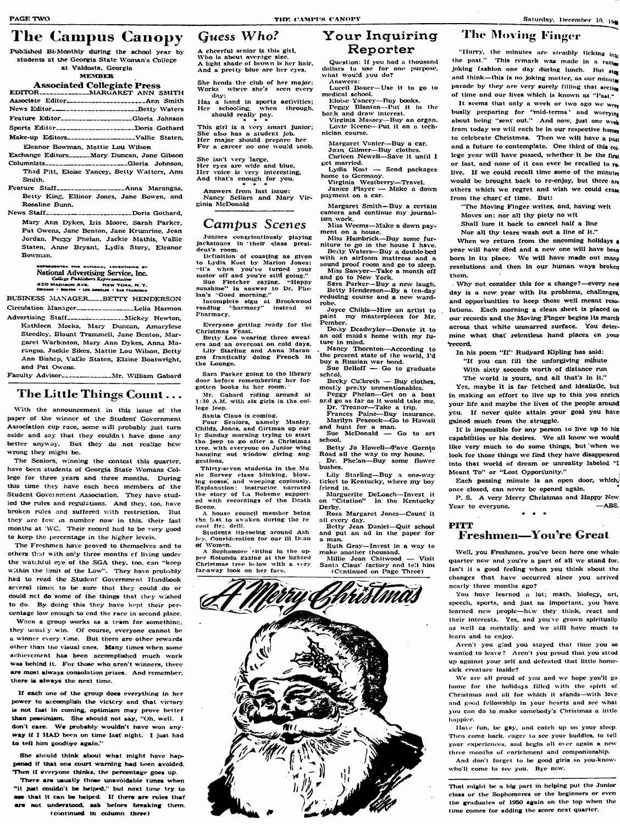### The Campus Canopy Guess Who?

Published Bi-Monthly during the school year by students at the Georgia State Woman's College at Valdosta, Georgia

#### **MEMBER**

#### **Associated Collegiate Press**

| Associate Editor______________________Ann Smith   |
|---------------------------------------------------|
|                                                   |
| Feature Editor_________________Gloria Johnson     |
| Sports Editor____________________Doris Gothard    |
| Make-up Editors____________________Vallie Staten, |
| Eleanor Bowman, Mattie Lou Wilson                 |
|                                                   |

Exchange Editors\_\_\_\_\_\_Mary Duncan, Jane Gibson

- Columnists<sub>-----</sub>-------------------Gloria Johnson, Thad Pitt, Eloise Yancey, Betty Watters, Ann Smith.
- Feature Staff--------------------Anna Marangas, Betty King, Ellinor Jones, Jane Bowen, and Rosaline Bunn.

News Staff------------------------Doris Gothard, Mary Ann Dykes, Iris Moore, Sarah Parker, Pat Owens, Jane Benton, Jane Krumrine, Jean Jordan, Peggy Phelan, Jackie Mathis, Vallie Staten, Anne Bryant, Lydia Story, Eleanor Bowman.

> **IPRESENTED FOR NATIONAL ADVERTISING BY** National Advertising Service, Inc. Uttal Thursdamson was also 420 MADISON AVE. NEW YORK, N.Y.<br>GISCAGO . BOSTON . LOS AMELES . SAN FRANCISCO

BUSINESS MANAGER \_\_\_ BETTY HENDERSON

- Circulation Manager\_\_\_\_\_\_\_\_\_\_\_\_\_\_\_\_\_Lelia Harmon
- Advertising Staff------------------Mickey Newton, Kathleen Mecks, Mary Duncan, Amarylese Steedley, Blount Trammell, Jane Benton, Margaret Warbinton, Mary Ann Dykes, Anna Marangos, Jackie Sikes, Mattie Lou Wilson, Betty Ann Bishep, Vallie Staten, Elaine Boatwright, and Pat Owens.
- Faculty Advisor------------------ Mr. William Gabard

### The Little Things Count...

With the announcement in this issue of the paper of the winner of the Student' Government Association cup race, some will probably just turn aside and say that they couldn't have done any better anyway. But they do not realize how wrong they might be.

The Seniors, winning the contest this quarter. have been students of Georgia State Womans College for three years and three months. During this time they have each been members of the Student Government Association. They have studied the rules and regulations. And they, too, have broken rules and suffered with restriction. But they are few in number now in this, their last months at 'WC. Their record had to be very good to keep the percentage in the higher levels.

The Freshmen have proved to themselves and to others that with only three months of living under the watchful eye of the SGA they, too, can "keep within the limit of the Law". They have probably had to read the Student' Government Handbook several times to be sure that they could do or could not do some of the things that they wished to do. By doing this they have kept their percentage low enough to end the race in second place.

When a group works as a team for something, they usually win. Of course, everyone cannot be a winner every time. But there are other rewards other than the visual cnes. Many times when some achievement has been accomplished much work was behind it. For those who aren't winners, there are most always consolution prizes. And remember, there is always the next time.

A cheerful senior is this girl. Who is about average size. A light shade of brown is her hair, And a pretty blue are her eyes.

She heads the club of her major; Works where she's seen every day:

Has a hand in sports activities; Her schooling, when through, should really pay.

This girl is a very smart junior; She also has a student job. Her major should prepare her For a career no one would snob.

She isn't very large, Her eyes are wide and blue, Her voice is very interesting, And that's enough for you.

Answers from last issue: Nancy Sellars and Mary Virginia McDonald

# Campus Scenes

Juniors conscientiously playing jackstones in their class presideut's room.

Definition of coasting as given to Lydia Kost by Marion Jones: "it's when you've turned your motor off and you're still goiug." Sue Fletcher saying, "Happy sunshine" in answer to Dr. Phelan's "Good morning."

Incomplete sign at Brookwood<br>reading "harmacy" instead of Pharmacy.

Everyone getting ready for the Christmas Feast.

Betty Lee wearing three sweaters and an overcoat on cold days. Lily Starling and Anna Marangos frantically doing French in the Lounge.

Sara Parker going to the library door before remembering her forgotten books in her room.

Mr. Gabard riding around at 1:30 A.M. with six girls in the college jeep.

Santa Claus is coming.

Four Seniors, namely Manley, Childs, Jones, and Girtman up carly Sunday morning trying to start the jeep to go after a Christmas tree, with everyone on Junior wing hanging out window giving suggestions.

Thirty-seven students in the Music Survey class blinking, blowing noses, and weeping copiously. Explanation: instructor narrated the story of La Boheme supported with recordings of the Death Scene.

A house council member being the hist to awaken during the re cent fire drill.

Students tip-toeing around Ash ley. Consideration for our ill Dean of Women.

A Sophomore sitting in the upper Rotunda gazing at the lighted Christmas tree below with a very far-away look on her face.



### Your Inquiring Reporter

Question: If you had a thousand dollars to use for one purpose, what would you do? Answers:

Luceil Bauer-Use it to go to medical school.

Eloise Yancey-Buy books. Peggy Blanton--Put it in the

bark and draw interest. Virginia Massey---Buy an organ.

Lovie Keene-Put it on a technician course.

Margaret Vonier-Buy a car. Joan Gilmer-Buy clothes.

Carleen Newell-Save it until 1 ret married.

Lydia Kost - Send packages home to Germany.

Virginia Westberry-Travel. Janice Player - Make a down

payment on a car.

Margaret Smith-Buy a certain camera and continue my journalism work.

Miss Weems-Make a down payment on a house.

Miss Hambrick-Buy some furniture to go in the house I have.

Betty Waters-Buy a double bed with an airfoam mattress and a sound proof room and go to sleep. Miss Sawyer-Take a month off

and go to New York. Sara Parker-Buy a new laugh.

Betty Henderson-By a ten-day reducing course and a new wardrobe.

Joyce Childs-Hire an artist to paint my masterpieces for Mr. Pember.

Docsy Deadwyler-Donate it to an old maids home with my future in mind.

Nancy Thornton-According to the present state of the world, I'd buy a Russian war bond.

Sue Belloff  $-$  Go to graduate schcol.

Becky Culbreth - Buy clothes, mostly pretty unmentionables.

Peggy Phelan-Get on a boat and go as far as it would take me. Dr. Treanor-Take a trip.

Frances Paine-Buy insurance. Marilyn Peacock-Go to Hawaii and hunt for a man.

Sue McDonald - Go to art school.

Betty Jo Howell-Pave Gornto Road all the way to my house. Dr. Phelan-Buy some flower

bushes. Lily Starling-Buy a one-way ticket to Kentucky, where my boy

friend is. Marguerite DeLoach-Invest it on "Citation" in the Kentucky Derbv.

Rosa Margaret Jones-Count it

all every day. Betty Jean Daniel-Quit school and put an ad in the paper for

a man. Ruth Gray-Invest in a way to make another thousand.

Millie Jean Chitwood -- Visit Santa Claus' factory and tell him (Continued on Page Three)

### The Moving Finger

"Hurry, the minutes are steadily ticking into the past." This remark was made in a rather joking fashion one day during lunch. But stop and think-this is no joking matter, as our minuta parade by they are very surely filling that section of time and our lives which is known as "Past,"

It seems that only a week or two ago we wen busily preparing for "mid-terms' and worrying about being "sent out." And now, just one week from today we will each be in our respective home to celebrate Christmas. Then we will have a past and a future to contemplate. One third of this coj. lege year will have passed, whether it be the firm or last, and none of it can ever be recalled to relive. If we could recall time some of the minuter would be brought back to re-enjoy, but there are others which we regret and wish we could erage from the chart of time. But:

"The Moving Finger writes, and, having writ

Moves on: nor all thy piety no wit

Shall lure it back to cancel half a line

Nor all thy tears wash out a line of it."

When we return from the oncoming holidays a year will have died and a new one will have been born in its place. We will have made out many resolutions and then in our human ways broken them.

Why not consider this for a change?--every new day is a new year with its problems, challenges and opportunities to keep those well meant resolutions. Each morning a clean sheet is placed on our records and the Moving Finger begins its march across that white unmarred surface. You determine what that relentless hand places on your record.

In his poem "If" Rudyard Kipling has said:

"If you can fill the unforgiving minute With sixty seconds worth of distance run

The world is yours, and all that's in it."

Yes, maybe it is far fetched and idealistic, but in making an effort to live up to this you enrich your life and maybe the lives of the people around you. If never quite attain your goal you have gained much from the struggle.

It is impossible for any person to live up to his capabilities or his desires. We all know we would like very much to do some things, but when we look for those things we find they have disappeared into that world of dream or unreality labeled "I Meant To" or "Lost Opportunity."

Each passing minute is an open door, which, once closed, can never be opened again.

P. S. A very Merry Christmas and Happy New  $-$ ABS. Year to everyone.

### PITT **Freshmen—You're Great**

Well, you Freshmen, you've been here one whole quarter now and you're a part of all we stand for. Isn't it a good feeling when you think about the changes that have occurred since you arrived nearly three months ago?

You have learned a lot; math, biology, art, speech, sports, and just as important, you have learned new people-how they think, react and their interests. Yes, and you've grown spiritually as well as mentally and we still have much to learn and to enjoy.

Aren't you glad you stayed that time you so wanted to leave? Aren't you proud that you stood

If each one of the group does everything in her power to accomplish the victory and that victory is not fast in coming, optimism may prove better than pessimism. She should not say, "Oh, well. I don't care. We probably wouldn't have won anyway if I HAD been on time last night. I just had to tell him goodbye again."

She should think about what might have happened if that one court warning had been avoided. Then if everyone thinks, the percentage goes up.

There are usually those unavoidable times when "it just couldn't be helped," but next time try to see that it can be helped. If there are rules that are not understood, ask before breaking them. (continued in column three)

up against your self and defeated that littie homesick creature inside?

We are all proud of you and we hope you'll go home for the holidays filled with the spirit of Christmas and all for which it stands-with love and good fellowship in your hearts and see what you can do to make somebody's Christmas a little happier.

Have fun, be gay, and catch up on your sleep. Then come hack, eager to see your buddies, to tell your experiences, and begin all over again a new three months of enrichment and companionship. And don't forget to be good girls so you-knowwho'll come to see you. Bye now.

That might be a big part in helping put the Junior class or the Sophomores or the beginners or even the graduates of 1950 again on the top when the time comes for adding the score next quarter.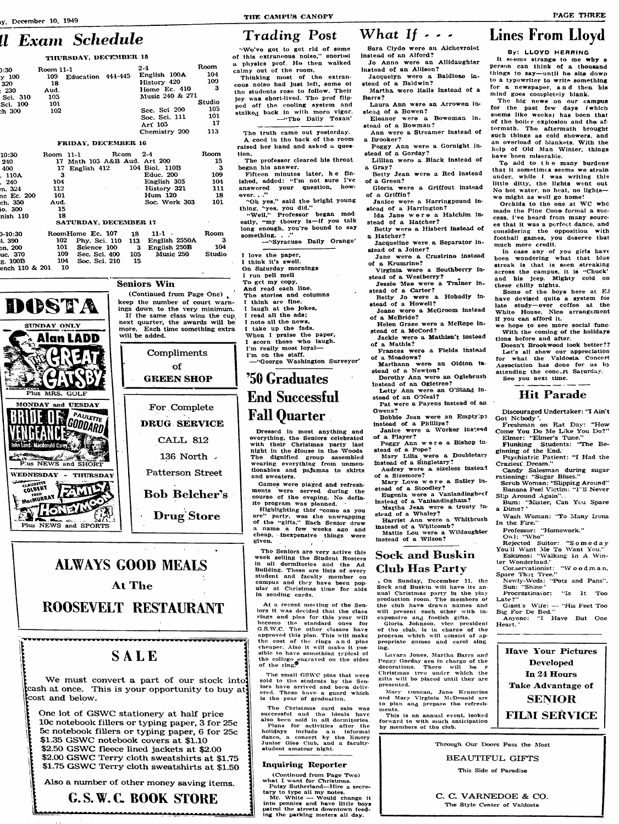# ll Exam Schedule

#### THURSDAY, DECEMBER 15

| :30      | Room 11-1 |                   | $2-4$           | Room          |  |  |
|----------|-----------|-------------------|-----------------|---------------|--|--|
| $-100$   | 109       | Education 444-445 | English 100A    | 104           |  |  |
| 320      | 18        |                   | History 420     | 109           |  |  |
| 230      | Aud.      |                   | Home Ec. 410    | 3             |  |  |
| Sci. 310 | 105       |                   | Music 240 & 271 |               |  |  |
| ici. 100 | 101       |                   |                 | <b>Studio</b> |  |  |
| 1 300    | 102       |                   | Sec. Sci 200    | $10^{\circ}$  |  |  |
|          |           |                   | Soc. Sci. 111   | 101           |  |  |
|          |           |                   | Art 105         | $\mathbf{1}$  |  |  |
|          |           |                   | Chemistry 200   | 113           |  |  |
|          |           |                   |                 |               |  |  |

#### FRIDAY, DECEMBER 16

| 10:30      | Room 11-1 |                              |  | Rcom | $2-4$            |               | Room |
|------------|-----------|------------------------------|--|------|------------------|---------------|------|
| 240        |           | 17 Math 105 A&B Aud. Art 200 |  |      |                  |               | 15   |
| 400        |           | 17 English $412$             |  |      | 104 Biol. 110B   |               | -3   |
| . 110A     | З         |                              |  |      | <b>Educ. 200</b> |               | 109  |
| . 240      | 104       |                              |  |      |                  | English 305   | 104  |
| m. 324     | 112       |                              |  |      |                  | Elistory 321  | 111  |
| ne Ec. 200 | 101       |                              |  |      | <b>Hum 120</b>   |               | -18  |
| ch. 350    | Aud.      |                              |  |      |                  | Soc. Work 303 | 101  |
| io. 300    | 15        |                              |  |      |                  |               |      |
| nish 110   | 18        |                              |  |      |                  |               |      |
|            |           | SATURDAY, DECEMBER 17        |  |      |                  |               |      |
| 0-10:30    |           | RoomHome Ec. 107             |  | 18   | 11-1             |               | Room |

Phy. Sci. 110 113 English 2550A

105

15

will be added.

 $\mathbf{3}$ 

English 250B

Music 250

Science 100

Sec. Sci. 400

Soc. Sci. 210

102

101 on. 200 uc. 370 109 g. 100B 104

1.390

ench 110 & 201 - 10



# **Lines From Lloyd**

By: LLOYD HERRING

person can think of a thousand

things to say-until he sits down

to a typewriter to write something

for a newspaper, and then his

for the past few days (which

seems like weeks) has been that

of the boller explosion and the af-

termath. The aftermath brought

such things as cold showers, and

an overload of blankets. With the

help of Old Man Winter, things

To add to the many burdens

that it sometimes seems we strain

under, while I was writing this

little ditty, the lights went out

No hot water, no heat, no lights-

made the Pine Cone formal a suc-

cess. I've heard from many sourc-

es that it was a perfect dance, and

considering the opposition with

football games, you deserve that

In case any of you girls have

been wondering what that blue

streak is that is seen streaking

across the campus, it is "Chuck'

and his jeep. Mighty coid on

have devised quite a system for

late study-over coffee at the

White House. Nice arrangement

we hope to see more social func-

With the coming of the holidays

Doesn't Brookwood look better??

Let's all show our appreciation

for what the Valdosta Concert

Association has done for us by

**Hit Parade** 

Discouraged Undertaker: "I Ain't

Freshman on Rat Day: "How

Flunking Students: "The Be-

Psychiatric Patient: "I Had the

Candy Salesman during sugar

Come You Do Me Like You Do?"

Elmer: "Elmer's Tune."

rationing: "Sugar Blues."

ginning of the End.

Craziest Dream."

attending the concert Saturday.

Some of the boys here at EJ

Orchids to the one at WC who

we might as well go home!

have been miserable.

much more credit.

these chilly nights.

if you can afford it.

tions before and after.

See you next time.

Got Ncbody'.

The big news on our campus

mind goes completely blank.

It seems strange to me why a

PAGE THREE

### What If . . . **Trading Post**

"We've got to get rid of some of this extraneous noise," snorted a physics prof. He then walked calmy out of the room.

Thinking most of the extrancous noise had just left, some of the students rose to follow. Their lov was short-lived. The prof flipped off the cooling system and stalked back in with more vigor. -"The Daily Texan'

The truth came out yesterday. A coed in the back of the room raised her hand and asked a question.

The professor cleared his throat began his answer.

Fifteen minutes later, he finished, added: "I'm not sure I've answered your question, how- $\alpha$  over.  $\ldots$ "

"Oh yes," said the bright young thing, "yes, you did."

"Well." Professor began modestly, "my theory is-if you talk long enough, you're bound to say something. . ."

-"Syracuse Daily Orange"

I love the paper,

-3

104

**Studio** 

- I take up the fads. When I praise the paper,
- I scorn those who laugh.



# '50 Graduates **End Successful Fall Quarter**

Dressed in most anything and everything, the Seniors celebrated with their Christmas party last night in the House in the Woods The dignified group assembled wearing everything from unmentionables and pajamas to skirts and sweaters.

Games were played and refreshments were served during the course of the evening. No definite program was planned.

Highlighting this "come as you are" party, was the unwrapping of the "gifts." Each Senior drew a name a few weeks ago and cheap, inexpensive things were given.

The Seniors are very active this week selling the Student Rosters in all dormitories and the Ad Building. These are lists of every student and faculty member on campus and they have been popular at Christmas time for aids in sending cards.

At a recent meeting of the Senlors it was decided that the class rings and pins for this year will become the standard ones for The 6.5. W.U other clusses have approved this plan. This will make the cost of the rings and pins cheaper. Also it will make it possible to have something typical of the college engraved on the sides<br>of the ring.

Sara Clyde were an Alchevrolet instead of an Alford?

Jo Anne were an Allidaughter instead of an Aliison? Jacquelyn were a Baldlose in-

stead of a Baldwin?

Martha were Ralls instead of a Barra?

- Laura Ann were an Arrowen instead of a Bowen?
- Eleanor were a Bowoman instead of a Bowman?
- Ann were a Streamer instead of a Brooker?
- Peggy Ann were a Gornight instead of a Gorday?
- Lillian were a Black instead of a Gray?
- Betty Jean were a Red instead of a Green?
- Gloria were a Griffout instead of a Griffin?
- Janice were a Harringpound instead of a Harrington?
- Ida Jane were a Hatchim instead of a Hatcher?
- Betty were a Hisbert instead of a Hatcher?
- Jacqueline were a Separator instead of a Joiner?
- Jane were a Crustrine instead of a Krumrine?
- Virginia were a Southberry in-
- stead of a Westberry? Jessie Mae were a Trainer in-
- stead of a Carter? Betty Jo were a Hobadly in-
- stead of a Howell? Jeane were a McGroom instead
- of a McBride? Helen Graee were a McRope in-
- stead of a McCord? Jackie were a Mathisn't instead
- of a Mathis?
- Frances were a Fields instead of a Meadows?
- Marthann were an Oldton instead of a Newton?
- Dorothy Ann were an Oglebrush instead of an Ogletree?
- Letty Ann were an O'Stand instead of an O'Neal?
- Pat were a Payens instead of an Owens?
- Bobbie Jean were an Empty ps instead of a Phillips?
- Janice were a Worker instead of a Player?
- Peggy Ann were a Bishop instead of a Pope?
- Mary Lilia were a Doubletary
- instead of a Singletary? Audrey were a sizeless instead
- of a Sizemore? Mary Love were a Satley in-
- stead of a Stoodley? Eugenia were a Vanlandingbeef
- instead of a Vanlandingham? Martha Jean were a trouty in-
- stead of a Whaley? Harriet Ann were a Whitbrush
- instead of a Whitcomb? Mattie Lou were a Wildaughter
- instead of a Wilson?

# **Sock and Buskin Club Has Party**

On Sunday, December 11, the Sock and Buskin will have its annual Christmas party in the play production room. The members of the club have drawn names and will present each other with in-

expensive and foolish gifts.<br>Gloria Johnson, vice president

Scrub Woman: "Slipping Around"<br>Banana Peel Victim: "1"Il Never Slip Around Again"... Burn: "Mister, Can You Spare

- a Dime?' Wash Woman: "To Many Irons
- In the Fire." Professor: "Homework."
- Owl: "Who"
- Rejected Suitor: "Someday You'll Want Me To Want You.'
- Eskimos: "Walking In A Winter Wonderland."
- Conservationist: "Woodman, Spare That Tree."
- Newly-Weds: "Pots and Pans". Sun: "Shine' Procrastinator: "Is It Too
- Late?' Giant's Wife: -- "His Feet Too"<br>Big For De Bed."
- Anyone: "I Have But One

Heart.'



Compliments

# **ALWAYS GOOD MEALS At The** ROOSEVELT RESTAURANT

I think it's swell. On Saturday mornings I run pell mell To get my copy, And read each line. (Continued from Page One). The stories and columns think are fine. keep the number of court warnings down to the very minimum. I laugh at the jokes, I read all the ads: If the same class wins the cup I note all the news. next quarter, the awards will be more. Each time something extra

SALE

We must convert a part of our stock into cash at once. This is your opportunity to buy at cost and below.

One lot of GSWC stationery at half price 10c notebook fillers or typing paper, 3 for 25c 5c notebook fillers or typing paper, 6 for 25c \$1.35 GSWC notebook covers at \$1.10 \$2.50 GSWC fleece lined jackets at \$2.00 \$2.00 GSWC Terry cloth sweatshirts at \$1.75 \$1.75 GSWC Terry cloth sweatshirts at \$1.50

Also a number of other money saving items.

# **C.S.W.C. BOOK STORE**

The small GSWC pins that were sold to the students by the Seniors have arrived and been delivered. These have a guard which is the year of graduation.

The Christmas card sale was successful and the Ideals have also been sold in all dormitories. Plans for activities after the holidays include an informal dance, a concert by the Emory Junior Glee Ciub, and a facultystudent amateur night.

### **Inquiring Reporter**

(Continued from Page Two) what I want for Christmas. Patsy Sutherland-Hire a secretary to type all my notes.<br>
Mr. White — Would change it<br>
into pennies and have little boys patrol the streets downtown feeding the parking meters all day.

of the club, is in charge of the program which will consist of appropriate games and carol singing.

Lavara Jones, Martha Barrs and Peggy Gorday are in charge of the decorations. There will be a Christmas tree under which the gifts will be placed until they are presented.

Mary Duncan, Jane Krumrine and Mary Virginia McDonald are to plan and prepare the refreshments.

This is an annual event, looked forward to with much anticipation by members of the club.



Through Our Doors Pass the Most

**BEAUTIFUL GIFTS** 

This Side of Paradise

### C. C. VARNEDOE & CO.

The Style Center of Valdosta